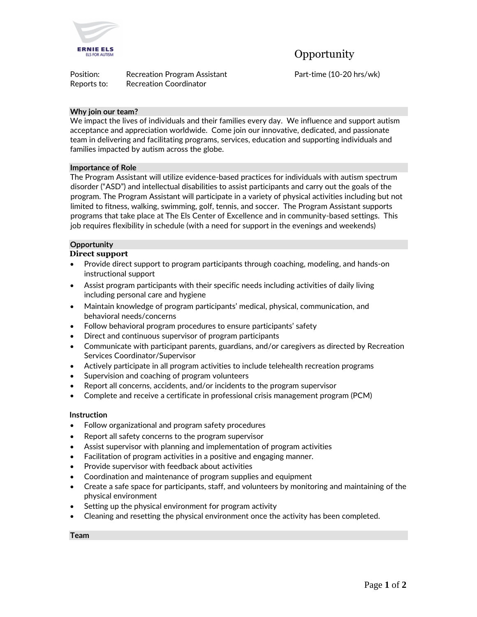

**Opportunity** 

| Position:   | <b>Recreation Program Assistant</b> |
|-------------|-------------------------------------|
| Reports to: | <b>Recreation Coordinator</b>       |

Part-time (10-20 hrs/wk)

## **Why join our team?**

We impact the lives of individuals and their families every day. We influence and support autism acceptance and appreciation worldwide. Come join our innovative, dedicated, and passionate team in delivering and facilitating programs, services, education and supporting individuals and families impacted by autism across the globe.

#### **Importance of Role**

The Program Assistant will utilize evidence-based practices for individuals with autism spectrum disorder ("ASD") and intellectual disabilities to assist participants and carry out the goals of the program. The Program Assistant will participate in a variety of physical activities including but not limited to fitness, walking, swimming, golf, tennis, and soccer. The Program Assistant supports programs that take place at The Els Center of Excellence and in community-based settings. This job requires flexibility in schedule (with a need for support in the evenings and weekends)

# **Opportunity**

## **Direct support**

- Provide direct support to program participants through coaching, modeling, and hands-on instructional support
- Assist program participants with their specific needs including activities of daily living including personal care and hygiene
- Maintain knowledge of program participants' medical, physical, communication, and behavioral needs/concerns
- Follow behavioral program procedures to ensure participants' safety
- Direct and continuous supervisor of program participants
- Communicate with participant parents, guardians, and/or caregivers as directed by Recreation Services Coordinator/Supervisor
- Actively participate in all program activities to include telehealth recreation programs
- Supervision and coaching of program volunteers
- Report all concerns, accidents, and/or incidents to the program supervisor
- Complete and receive a certificate in professional crisis management program (PCM)

#### **Instruction**

- Follow organizational and program safety procedures
- Report all safety concerns to the program supervisor
- Assist supervisor with planning and implementation of program activities
- Facilitation of program activities in a positive and engaging manner.
- Provide supervisor with feedback about activities
- Coordination and maintenance of program supplies and equipment
- Create a safe space for participants, staff, and volunteers by monitoring and maintaining of the physical environment
- Setting up the physical environment for program activity
- Cleaning and resetting the physical environment once the activity has been completed.

**Team**